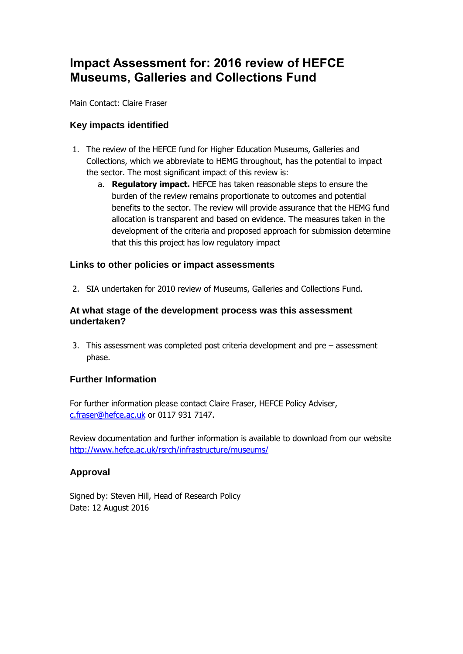# **Impact Assessment for: 2016 review of HEFCE Museums, Galleries and Collections Fund**

Main Contact: Claire Fraser

### **Key impacts identified**

- 1. The review of the HEFCE fund for Higher Education Museums, Galleries and Collections, which we abbreviate to HEMG throughout, has the potential to impact the sector. The most significant impact of this review is:
	- a. **Regulatory impact.** HEFCE has taken reasonable steps to ensure the burden of the review remains proportionate to outcomes and potential benefits to the sector. The review will provide assurance that the HEMG fund allocation is transparent and based on evidence. The measures taken in the development of the criteria and proposed approach for submission determine that this this project has low regulatory impact

#### **Links to other policies or impact assessments**

2. SIA undertaken for 2010 review of Museums, Galleries and Collections Fund.

#### **At what stage of the development process was this assessment undertaken?**

3. This assessment was completed post criteria development and pre – assessment phase.

#### **Further Information**

For further information please contact Claire Fraser, HEFCE Policy Adviser, [c.fraser@hefce.ac.uk](mailto:c.fraser@hefce.ac.uk) or 0117 931 7147.

Review documentation and further information is available to download from our website <http://www.hefce.ac.uk/rsrch/infrastructure/museums/>

### **Approval**

Signed by: Steven Hill, Head of Research Policy Date: 12 August 2016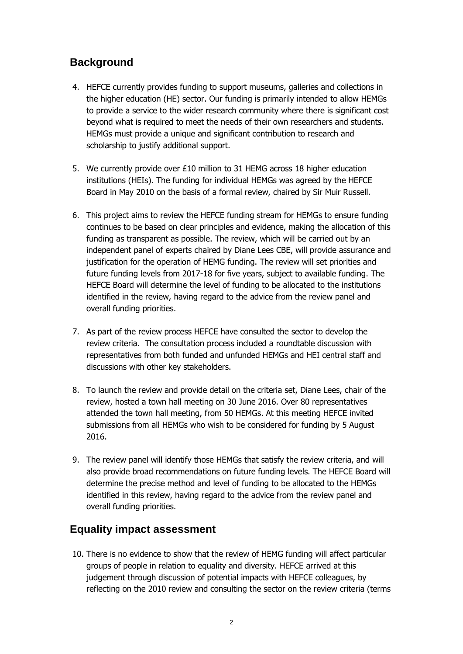# **Background**

- 4. HEFCE currently provides funding to support museums, galleries and collections in the higher education (HE) sector. Our funding is primarily intended to allow HEMGs to provide a service to the wider research community where there is significant cost beyond what is required to meet the needs of their own researchers and students. HEMGs must provide a unique and significant contribution to research and scholarship to justify additional support.
- 5. We currently provide over £10 million to 31 HEMG across 18 higher education institutions (HEIs). The funding for individual HEMGs was agreed by the HEFCE Board in May 2010 on the basis of a formal review, chaired by Sir Muir Russell.
- 6. This project aims to review the HEFCE funding stream for HEMGs to ensure funding continues to be based on clear principles and evidence, making the allocation of this funding as transparent as possible. The review, which will be carried out by an independent panel of experts chaired by Diane Lees CBE, will provide assurance and justification for the operation of HEMG funding. The review will set priorities and future funding levels from 2017-18 for five years, subject to available funding. The HEFCE Board will determine the level of funding to be allocated to the institutions identified in the review, having regard to the advice from the review panel and overall funding priorities.
- 7. As part of the review process HEFCE have consulted the sector to develop the review criteria. The consultation process included a roundtable discussion with representatives from both funded and unfunded HEMGs and HEI central staff and discussions with other key stakeholders.
- 8. To launch the review and provide detail on the criteria set, Diane Lees, chair of the review, hosted a town hall meeting on 30 June 2016. Over 80 representatives attended the town hall meeting, from 50 HEMGs. At this meeting HEFCE invited submissions from all HEMGs who wish to be considered for funding by 5 August 2016.
- 9. The review panel will identify those HEMGs that satisfy the review criteria, and will also provide broad recommendations on future funding levels. The HEFCE Board will determine the precise method and level of funding to be allocated to the HEMGs identified in this review, having regard to the advice from the review panel and overall funding priorities.

## **Equality impact assessment**

10. There is no evidence to show that the review of HEMG funding will affect particular groups of people in relation to equality and diversity. HEFCE arrived at this judgement through discussion of potential impacts with HEFCE colleagues, by reflecting on the 2010 review and consulting the sector on the review criteria (terms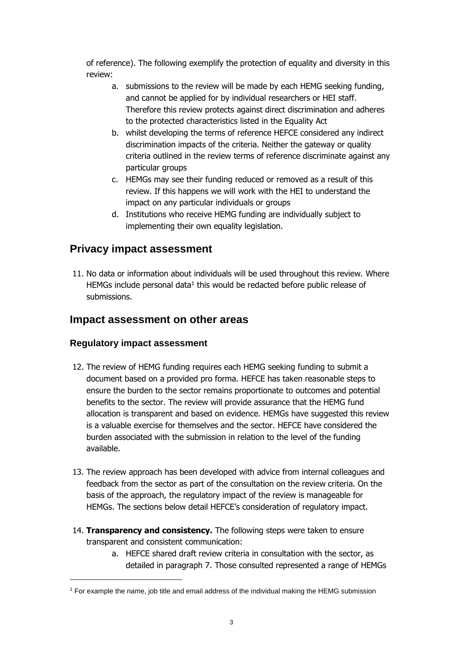of reference). The following exemplify the protection of equality and diversity in this review:

- a. submissions to the review will be made by each HEMG seeking funding, and cannot be applied for by individual researchers or HEI staff. Therefore this review protects against direct discrimination and adheres to the protected characteristics listed in the Equality Act
- b. whilst developing the terms of reference HEFCE considered any indirect discrimination impacts of the criteria. Neither the gateway or quality criteria outlined in the review terms of reference discriminate against any particular groups
- c. HEMGs may see their funding reduced or removed as a result of this review. If this happens we will work with the HEI to understand the impact on any particular individuals or groups
- d. Institutions who receive HEMG funding are individually subject to implementing their own equality legislation.

# **Privacy impact assessment**

11. No data or information about individuals will be used throughout this review. Where HEMGs include personal data $1$  this would be redacted before public release of submissions.

### **Impact assessment on other areas**

### **Regulatory impact assessment**

 $\overline{a}$ 

- 12. The review of HEMG funding requires each HEMG seeking funding to submit a document based on a provided pro forma. HEFCE has taken reasonable steps to ensure the burden to the sector remains proportionate to outcomes and potential benefits to the sector. The review will provide assurance that the HEMG fund allocation is transparent and based on evidence. HEMGs have suggested this review is a valuable exercise for themselves and the sector. HEFCE have considered the burden associated with the submission in relation to the level of the funding available.
- 13. The review approach has been developed with advice from internal colleagues and feedback from the sector as part of the consultation on the review criteria. On the basis of the approach, the regulatory impact of the review is manageable for HEMGs. The sections below detail HEFCE's consideration of regulatory impact.
- 14. **Transparency and consistency.** The following steps were taken to ensure transparent and consistent communication:
	- a. HEFCE shared draft review criteria in consultation with the sector, as detailed in paragraph 7. Those consulted represented a range of HEMGs

<sup>1</sup> For example the name, job title and email address of the individual making the HEMG submission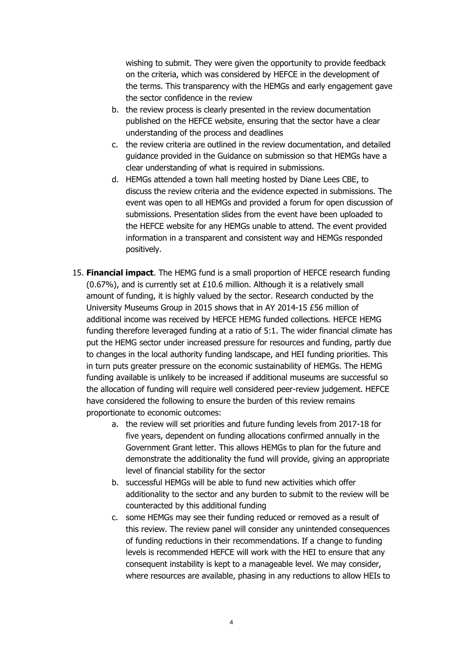wishing to submit. They were given the opportunity to provide feedback on the criteria, which was considered by HEFCE in the development of the terms. This transparency with the HEMGs and early engagement gave the sector confidence in the review

- b. the review process is clearly presented in the review documentation published on the HEFCE website, ensuring that the sector have a clear understanding of the process and deadlines
- c. the review criteria are outlined in the review documentation, and detailed guidance provided in the Guidance on submission so that HEMGs have a clear understanding of what is required in submissions.
- d. HEMGs attended a town hall meeting hosted by Diane Lees CBE, to discuss the review criteria and the evidence expected in submissions. The event was open to all HEMGs and provided a forum for open discussion of submissions. Presentation slides from the event have been uploaded to the HEFCE website for any HEMGs unable to attend. The event provided information in a transparent and consistent way and HEMGs responded positively.
- 15. **Financial impact**. The HEMG fund is a small proportion of HEFCE research funding (0.67%), and is currently set at £10.6 million. Although it is a relatively small amount of funding, it is highly valued by the sector. Research conducted by the University Museums Group in 2015 shows that in AY 2014-15 £56 million of additional income was received by HEFCE HEMG funded collections. HEFCE HEMG funding therefore leveraged funding at a ratio of 5:1. The wider financial climate has put the HEMG sector under increased pressure for resources and funding, partly due to changes in the local authority funding landscape, and HEI funding priorities. This in turn puts greater pressure on the economic sustainability of HEMGs. The HEMG funding available is unlikely to be increased if additional museums are successful so the allocation of funding will require well considered peer-review judgement. HEFCE have considered the following to ensure the burden of this review remains proportionate to economic outcomes:
	- a. the review will set priorities and future funding levels from 2017-18 for five years, dependent on funding allocations confirmed annually in the Government Grant letter. This allows HEMGs to plan for the future and demonstrate the additionality the fund will provide, giving an appropriate level of financial stability for the sector
	- b. successful HEMGs will be able to fund new activities which offer additionality to the sector and any burden to submit to the review will be counteracted by this additional funding
	- c. some HEMGs may see their funding reduced or removed as a result of this review. The review panel will consider any unintended consequences of funding reductions in their recommendations. If a change to funding levels is recommended HEFCE will work with the HEI to ensure that any consequent instability is kept to a manageable level. We may consider, where resources are available, phasing in any reductions to allow HEIs to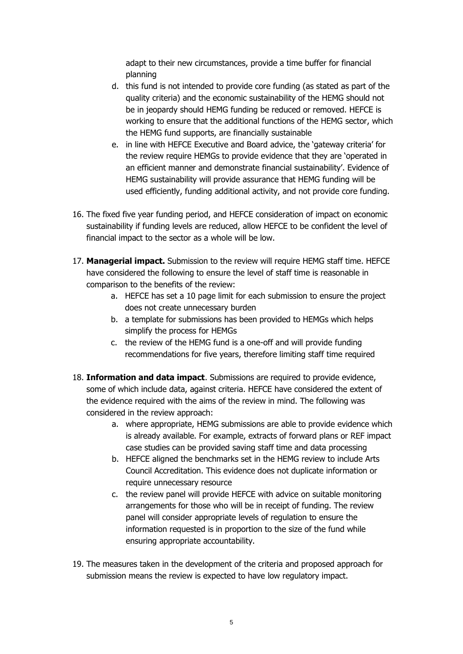adapt to their new circumstances, provide a time buffer for financial planning

- d. this fund is not intended to provide core funding (as stated as part of the quality criteria) and the economic sustainability of the HEMG should not be in jeopardy should HEMG funding be reduced or removed. HEFCE is working to ensure that the additional functions of the HEMG sector, which the HEMG fund supports, are financially sustainable
- e. in line with HEFCE Executive and Board advice, the 'gateway criteria' for the review require HEMGs to provide evidence that they are 'operated in an efficient manner and demonstrate financial sustainability'. Evidence of HEMG sustainability will provide assurance that HEMG funding will be used efficiently, funding additional activity, and not provide core funding.
- 16. The fixed five year funding period, and HEFCE consideration of impact on economic sustainability if funding levels are reduced, allow HEFCE to be confident the level of financial impact to the sector as a whole will be low.
- 17. **Managerial impact.** Submission to the review will require HEMG staff time. HEFCE have considered the following to ensure the level of staff time is reasonable in comparison to the benefits of the review:
	- a. HEFCE has set a 10 page limit for each submission to ensure the project does not create unnecessary burden
	- b. a template for submissions has been provided to HEMGs which helps simplify the process for HEMGs
	- c. the review of the HEMG fund is a one-off and will provide funding recommendations for five years, therefore limiting staff time required
- 18. **Information and data impact**. Submissions are required to provide evidence, some of which include data, against criteria. HEFCE have considered the extent of the evidence required with the aims of the review in mind. The following was considered in the review approach:
	- a. where appropriate, HEMG submissions are able to provide evidence which is already available. For example, extracts of forward plans or REF impact case studies can be provided saving staff time and data processing
	- b. HEFCE aligned the benchmarks set in the HEMG review to include Arts Council Accreditation. This evidence does not duplicate information or require unnecessary resource
	- c. the review panel will provide HEFCE with advice on suitable monitoring arrangements for those who will be in receipt of funding. The review panel will consider appropriate levels of regulation to ensure the information requested is in proportion to the size of the fund while ensuring appropriate accountability.
- 19. The measures taken in the development of the criteria and proposed approach for submission means the review is expected to have low regulatory impact.